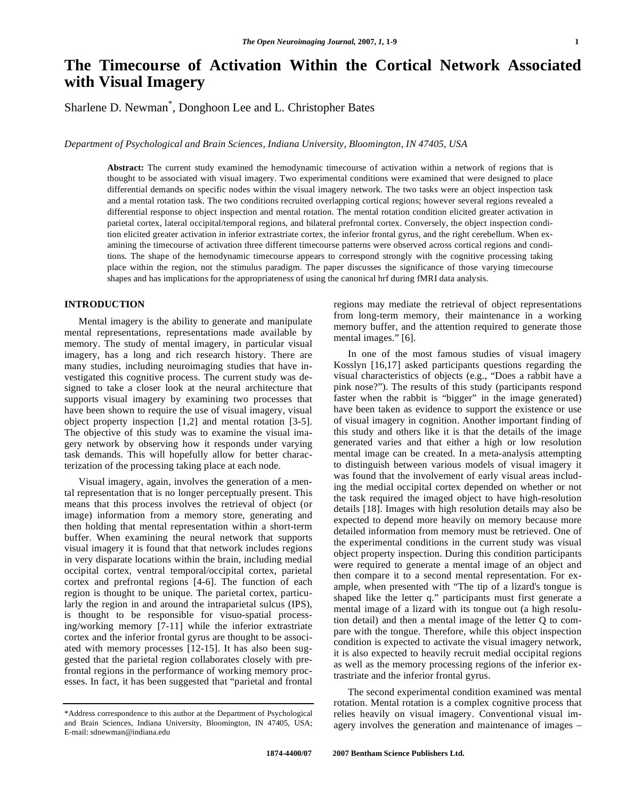# **The Timecourse of Activation Within the Cortical Network Associated with Visual Imagery**

Sharlene D. Newman\* , Donghoon Lee and L. Christopher Bates

*Department of Psychological and Brain Sciences, Indiana University, Bloomington, IN 47405, USA* 

**Abstract:** The current study examined the hemodynamic timecourse of activation within a network of regions that is thought to be associated with visual imagery. Two experimental conditions were examined that were designed to place differential demands on specific nodes within the visual imagery network. The two tasks were an object inspection task and a mental rotation task. The two conditions recruited overlapping cortical regions; however several regions revealed a differential response to object inspection and mental rotation. The mental rotation condition elicited greater activation in parietal cortex, lateral occipital/temporal regions, and bilateral prefrontal cortex. Conversely, the object inspection condition elicited greater activation in inferior extrastriate cortex, the inferior frontal gyrus, and the right cerebellum. When examining the timecourse of activation three different timecourse patterns were observed across cortical regions and conditions. The shape of the hemodynamic timecourse appears to correspond strongly with the cognitive processing taking place within the region, not the stimulus paradigm. The paper discusses the significance of those varying timecourse shapes and has implications for the appropriateness of using the canonical hrf during fMRI data analysis.

# **INTRODUCTION**

 Mental imagery is the ability to generate and manipulate mental representations, representations made available by memory. The study of mental imagery, in particular visual imagery, has a long and rich research history. There are many studies, including neuroimaging studies that have investigated this cognitive process. The current study was designed to take a closer look at the neural architecture that supports visual imagery by examining two processes that have been shown to require the use of visual imagery, visual object property inspection [1,2] and mental rotation [3-5]. The objective of this study was to examine the visual imagery network by observing how it responds under varying task demands. This will hopefully allow for better characterization of the processing taking place at each node.

 Visual imagery, again, involves the generation of a mental representation that is no longer perceptually present. This means that this process involves the retrieval of object (or image) information from a memory store, generating and then holding that mental representation within a short-term buffer. When examining the neural network that supports visual imagery it is found that that network includes regions in very disparate locations within the brain, including medial occipital cortex, ventral temporal/occipital cortex, parietal cortex and prefrontal regions [4-6]. The function of each region is thought to be unique. The parietal cortex, particularly the region in and around the intraparietal sulcus (IPS), is thought to be responsible for visuo-spatial processing/working memory [7-11] while the inferior extrastriate cortex and the inferior frontal gyrus are thought to be associated with memory processes [12-15]. It has also been suggested that the parietal region collaborates closely with prefrontal regions in the performance of working memory processes. In fact, it has been suggested that "parietal and frontal

regions may mediate the retrieval of object representations from long-term memory, their maintenance in a working memory buffer, and the attention required to generate those mental images." [6].

 In one of the most famous studies of visual imagery Kosslyn [16,17] asked participants questions regarding the visual characteristics of objects (e.g., "Does a rabbit have a pink nose?"). The results of this study (participants respond faster when the rabbit is "bigger" in the image generated) have been taken as evidence to support the existence or use of visual imagery in cognition. Another important finding of this study and others like it is that the details of the image generated varies and that either a high or low resolution mental image can be created. In a meta-analysis attempting to distinguish between various models of visual imagery it was found that the involvement of early visual areas including the medial occipital cortex depended on whether or not the task required the imaged object to have high-resolution details [18]. Images with high resolution details may also be expected to depend more heavily on memory because more detailed information from memory must be retrieved. One of the experimental conditions in the current study was visual object property inspection. During this condition participants were required to generate a mental image of an object and then compare it to a second mental representation. For example, when presented with "The tip of a lizard's tongue is shaped like the letter q." participants must first generate a mental image of a lizard with its tongue out (a high resolution detail) and then a mental image of the letter Q to compare with the tongue. Therefore, while this object inspection condition is expected to activate the visual imagery network, it is also expected to heavily recruit medial occipital regions as well as the memory processing regions of the inferior extrastriate and the inferior frontal gyrus.

 The second experimental condition examined was mental rotation. Mental rotation is a complex cognitive process that relies heavily on visual imagery. Conventional visual imagery involves the generation and maintenance of images –

<sup>\*</sup>Address correspondence to this author at the Department of Psychological and Brain Sciences, Indiana University, Bloomington, IN 47405, USA; E-mail: sdnewman@indiana.edu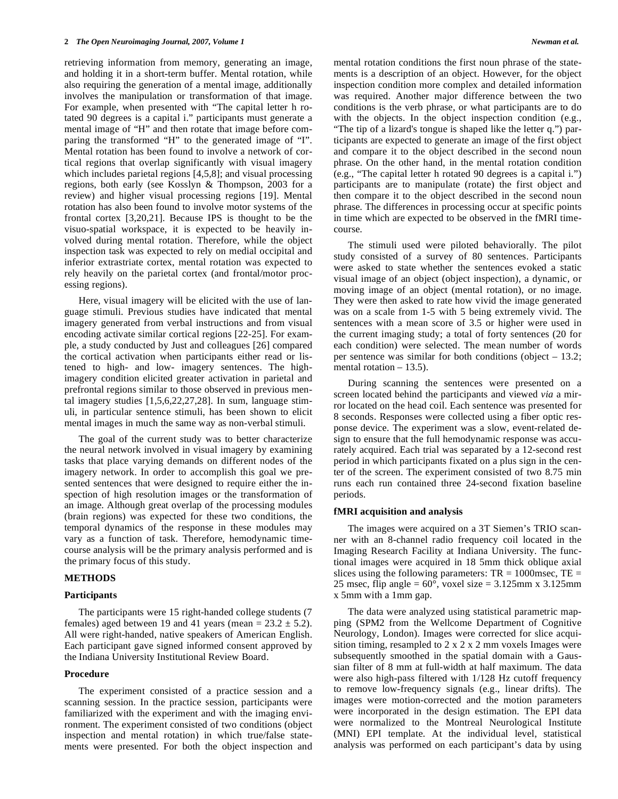retrieving information from memory, generating an image, and holding it in a short-term buffer. Mental rotation, while also requiring the generation of a mental image, additionally involves the manipulation or transformation of that image. For example, when presented with "The capital letter h rotated 90 degrees is a capital i." participants must generate a mental image of "H" and then rotate that image before comparing the transformed "H" to the generated image of "I". Mental rotation has been found to involve a network of cortical regions that overlap significantly with visual imagery which includes parietal regions [4,5,8]; and visual processing regions, both early (see Kosslyn & Thompson, 2003 for a review) and higher visual processing regions [19]. Mental rotation has also been found to involve motor systems of the frontal cortex [3,20,21]. Because IPS is thought to be the visuo-spatial workspace, it is expected to be heavily involved during mental rotation. Therefore, while the object inspection task was expected to rely on medial occipital and inferior extrastriate cortex, mental rotation was expected to rely heavily on the parietal cortex (and frontal/motor processing regions).

 Here, visual imagery will be elicited with the use of language stimuli. Previous studies have indicated that mental imagery generated from verbal instructions and from visual encoding activate similar cortical regions [22-25]. For example, a study conducted by Just and colleagues [26] compared the cortical activation when participants either read or listened to high- and low- imagery sentences. The highimagery condition elicited greater activation in parietal and prefrontal regions similar to those observed in previous mental imagery studies [1,5,6,22,27,28]. In sum, language stimuli, in particular sentence stimuli, has been shown to elicit mental images in much the same way as non-verbal stimuli.

 The goal of the current study was to better characterize the neural network involved in visual imagery by examining tasks that place varying demands on different nodes of the imagery network. In order to accomplish this goal we presented sentences that were designed to require either the inspection of high resolution images or the transformation of an image. Although great overlap of the processing modules (brain regions) was expected for these two conditions, the temporal dynamics of the response in these modules may vary as a function of task. Therefore, hemodynamic timecourse analysis will be the primary analysis performed and is the primary focus of this study.

# **METHODS**

#### **Participants**

 The participants were 15 right-handed college students (7 females) aged between 19 and 41 years (mean =  $23.2 \pm 5.2$ ). All were right-handed, native speakers of American English. Each participant gave signed informed consent approved by the Indiana University Institutional Review Board.

### **Procedure**

 The experiment consisted of a practice session and a scanning session. In the practice session, participants were familiarized with the experiment and with the imaging environment. The experiment consisted of two conditions (object inspection and mental rotation) in which true/false statements were presented. For both the object inspection and mental rotation conditions the first noun phrase of the statements is a description of an object. However, for the object inspection condition more complex and detailed information was required. Another major difference between the two conditions is the verb phrase, or what participants are to do with the objects. In the object inspection condition (e.g., "The tip of a lizard's tongue is shaped like the letter q.") participants are expected to generate an image of the first object and compare it to the object described in the second noun phrase. On the other hand, in the mental rotation condition (e.g., "The capital letter h rotated 90 degrees is a capital i.") participants are to manipulate (rotate) the first object and then compare it to the object described in the second noun phrase. The differences in processing occur at specific points in time which are expected to be observed in the fMRI timecourse.

 The stimuli used were piloted behaviorally. The pilot study consisted of a survey of 80 sentences. Participants were asked to state whether the sentences evoked a static visual image of an object (object inspection), a dynamic, or moving image of an object (mental rotation), or no image. They were then asked to rate how vivid the image generated was on a scale from 1-5 with 5 being extremely vivid. The sentences with a mean score of 3.5 or higher were used in the current imaging study; a total of forty sentences (20 for each condition) were selected. The mean number of words per sentence was similar for both conditions (object – 13.2; mental rotation  $-13.5$ ).

 During scanning the sentences were presented on a screen located behind the participants and viewed *via* a mirror located on the head coil. Each sentence was presented for 8 seconds. Responses were collected using a fiber optic response device. The experiment was a slow, event-related design to ensure that the full hemodynamic response was accurately acquired. Each trial was separated by a 12-second rest period in which participants fixated on a plus sign in the center of the screen. The experiment consisted of two 8.75 min runs each run contained three 24-second fixation baseline periods.

# **fMRI acquisition and analysis**

 The images were acquired on a 3T Siemen's TRIO scanner with an 8-channel radio frequency coil located in the Imaging Research Facility at Indiana University. The functional images were acquired in 18 5mm thick oblique axial slices using the following parameters:  $TR = 1000$ msec,  $TE =$ 25 msec, flip angle =  $60^{\circ}$ , voxel size = 3.125mm x 3.125mm x 5mm with a 1mm gap.

 The data were analyzed using statistical parametric mapping (SPM2 from the Wellcome Department of Cognitive Neurology, London). Images were corrected for slice acquisition timing, resampled to 2 x 2 x 2 mm voxels Images were subsequently smoothed in the spatial domain with a Gaussian filter of 8 mm at full-width at half maximum. The data were also high-pass filtered with 1/128 Hz cutoff frequency to remove low-frequency signals (e.g., linear drifts). The images were motion-corrected and the motion parameters were incorporated in the design estimation. The EPI data were normalized to the Montreal Neurological Institute (MNI) EPI template. At the individual level, statistical analysis was performed on each participant's data by using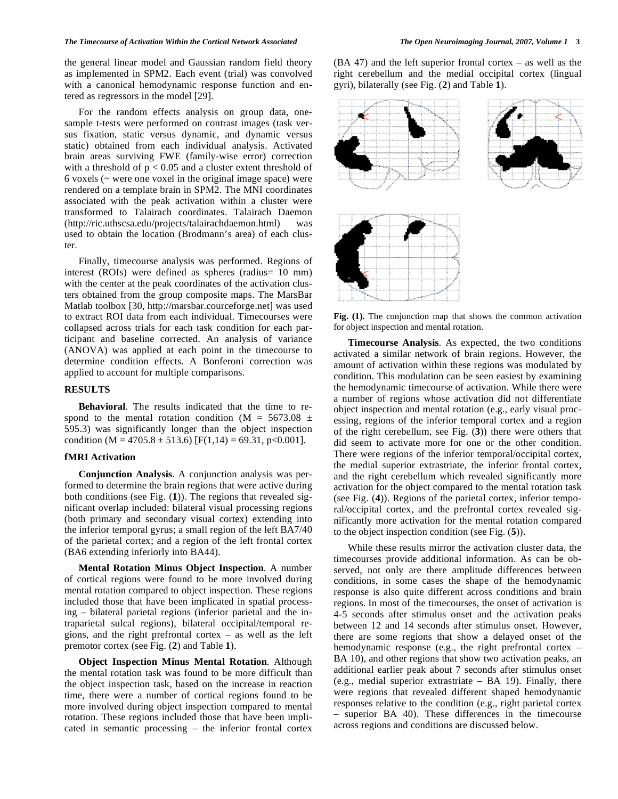#### *The Timecourse of Activation Within the Cortical Network Associated The Open Neuroimaging Journal, 2007, Volume 1* **3**

the general linear model and Gaussian random field theory as implemented in SPM2. Each event (trial) was convolved with a canonical hemodynamic response function and entered as regressors in the model [29].

 For the random effects analysis on group data, onesample t-tests were performed on contrast images (task versus fixation, static versus dynamic, and dynamic versus static) obtained from each individual analysis. Activated brain areas surviving FWE (family-wise error) correction with a threshold of  $p < 0.05$  and a cluster extent threshold of 6 voxels (~ were one voxel in the original image space) were rendered on a template brain in SPM2. The MNI coordinates associated with the peak activation within a cluster were transformed to Talairach coordinates. Talairach Daemon (http://ric.uthscsa.edu/projects/talairachdaemon.html) was used to obtain the location (Brodmann's area) of each cluster.

 Finally, timecourse analysis was performed. Regions of interest (ROIs) were defined as spheres (radius= 10 mm) with the center at the peak coordinates of the activation clusters obtained from the group composite maps. The MarsBar Matlab toolbox [30, http://marsbar.courceforge.net] was used to extract ROI data from each individual. Timecourses were collapsed across trials for each task condition for each participant and baseline corrected. An analysis of variance (ANOVA) was applied at each point in the timecourse to determine condition effects. A Bonferoni correction was applied to account for multiple comparisons.

# **RESULTS**

**Behavioral**. The results indicated that the time to respond to the mental rotation condition (M =  $5673.08 \pm$ 595.3) was significantly longer than the object inspection condition (M = 4705.8  $\pm$  513.6) [F(1,14) = 69.31, p<0.001].

#### **fMRI Activation**

**Conjunction Analysis**. A conjunction analysis was performed to determine the brain regions that were active during both conditions (see Fig. (**1**)). The regions that revealed significant overlap included: bilateral visual processing regions (both primary and secondary visual cortex) extending into the inferior temporal gyrus; a small region of the left BA7/40 of the parietal cortex; and a region of the left frontal cortex (BA6 extending inferiorly into BA44).

**Mental Rotation Minus Object Inspection**. A number of cortical regions were found to be more involved during mental rotation compared to object inspection. These regions included those that have been implicated in spatial processing – bilateral parietal regions (inferior parietal and the intraparietal sulcal regions), bilateral occipital/temporal regions, and the right prefrontal cortex – as well as the left premotor cortex (see Fig. (**2**) and Table **1**).

 **Object Inspection Minus Mental Rotation**. Although the mental rotation task was found to be more difficult than the object inspection task, based on the increase in reaction time, there were a number of cortical regions found to be more involved during object inspection compared to mental rotation. These regions included those that have been implicated in semantic processing – the inferior frontal cortex (BA 47) and the left superior frontal cortex – as well as the right cerebellum and the medial occipital cortex (lingual gyri), bilaterally (see Fig. (**2**) and Table **1**).



**Fig. (1).** The conjunction map that shows the common activation for object inspection and mental rotation.

 **Timecourse Analysis**. As expected, the two conditions activated a similar network of brain regions. However, the amount of activation within these regions was modulated by condition. This modulation can be seen easiest by examining the hemodynamic timecourse of activation. While there were a number of regions whose activation did not differentiate object inspection and mental rotation (e.g., early visual processing, regions of the inferior temporal cortex and a region of the right cerebellum, see Fig. (**3**)) there were others that did seem to activate more for one or the other condition. There were regions of the inferior temporal/occipital cortex, the medial superior extrastriate, the inferior frontal cortex, and the right cerebellum which revealed significantly more activation for the object compared to the mental rotation task (see Fig. (**4**)). Regions of the parietal cortex, inferior temporal/occipital cortex, and the prefrontal cortex revealed significantly more activation for the mental rotation compared to the object inspection condition (see Fig. (**5**)).

 While these results mirror the activation cluster data, the timecourses provide additional information. As can be observed, not only are there amplitude differences between conditions, in some cases the shape of the hemodynamic response is also quite different across conditions and brain regions. In most of the timecourses, the onset of activation is 4-5 seconds after stimulus onset and the activation peaks between 12 and 14 seconds after stimulus onset. However, there are some regions that show a delayed onset of the hemodynamic response (e.g., the right prefrontal cortex – BA 10), and other regions that show two activation peaks, an additional earlier peak about 7 seconds after stimulus onset (e.g., medial superior extrastriate – BA 19). Finally, there were regions that revealed different shaped hemodynamic responses relative to the condition (e.g., right parietal cortex – superior BA 40). These differences in the timecourse across regions and conditions are discussed below.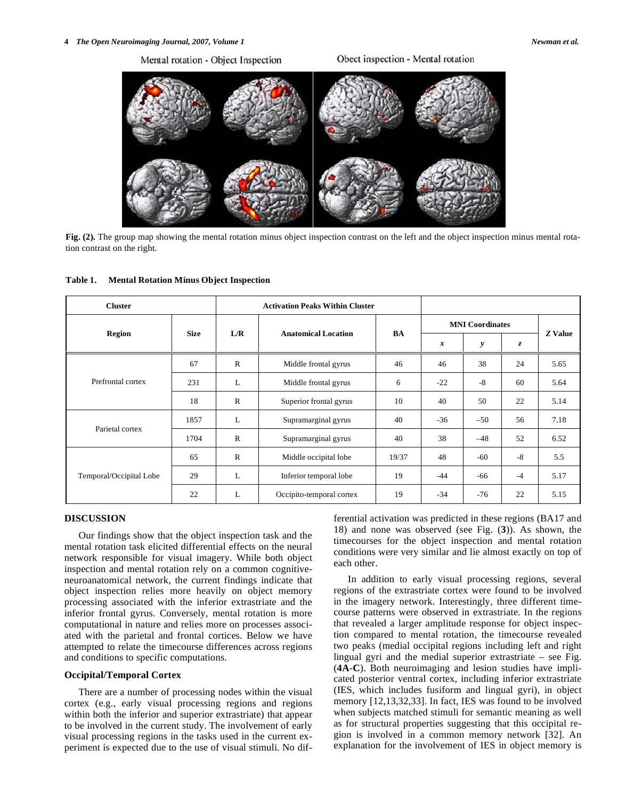Obect inspection - Mental rotation Mental rotation - Object Inspection

**Fig. (2).** The group map showing the mental rotation minus object inspection contrast on the left and the object inspection minus mental rotation contrast on the right.

| <b>Cluster</b>          |             |              |                            |       |                        |       |      |         |
|-------------------------|-------------|--------------|----------------------------|-------|------------------------|-------|------|---------|
|                         | <b>Size</b> | L/R          |                            | BA    | <b>MNI</b> Coordinates |       |      |         |
| <b>Region</b>           |             |              | <b>Anatomical Location</b> |       | x                      | y     | z    | Z Value |
| Prefrontal cortex       | 67          | $\mathbb{R}$ | Middle frontal gyrus       | 46    | 46                     | 38    | 24   | 5.65    |
|                         | 231         | L            | Middle frontal gyrus       | 6     | $-22$                  | $-8$  | 60   | 5.64    |
|                         | 18          | $\mathbb{R}$ | Superior frontal gyrus     | 10    | 40                     | 50    | 22   | 5.14    |
| Parietal cortex         | 1857        | L            | Supramarginal gyrus        | 40    | $-36$                  | $-50$ | 56   | 7.18    |
|                         | 1704        | $\mathbb{R}$ | Supramarginal gyrus        | 40    | 38                     | $-48$ | 52   | 6.52    |
| Temporal/Occipital Lobe | 65          | $\mathbb{R}$ | Middle occipital lobe      | 19/37 | 48                     | $-60$ | $-8$ | 5.5     |
|                         | 29          | L            | Inferior temporal lobe     | 19    | $-44$                  | -66   | $-4$ | 5.17    |
|                         | 22          | L            | Occipito-temporal cortex   | 19    | $-34$                  | $-76$ | 22   | 5.15    |

**Table 1. Mental Rotation Minus Object Inspection** 

# **DISCUSSION**

 Our findings show that the object inspection task and the mental rotation task elicited differential effects on the neural network responsible for visual imagery. While both object inspection and mental rotation rely on a common cognitiveneuroanatomical network, the current findings indicate that object inspection relies more heavily on object memory processing associated with the inferior extrastriate and the inferior frontal gyrus. Conversely, mental rotation is more computational in nature and relies more on processes associated with the parietal and frontal cortices. Below we have attempted to relate the timecourse differences across regions and conditions to specific computations.

# **Occipital/Temporal Cortex**

 There are a number of processing nodes within the visual cortex (e.g., early visual processing regions and regions within both the inferior and superior extrastriate) that appear to be involved in the current study. The involvement of early visual processing regions in the tasks used in the current experiment is expected due to the use of visual stimuli. No differential activation was predicted in these regions (BA17 and 18) and none was observed (see Fig. (**3**)). As shown, the timecourses for the object inspection and mental rotation conditions were very similar and lie almost exactly on top of each other.

 In addition to early visual processing regions, several regions of the extrastriate cortex were found to be involved in the imagery network. Interestingly, three different timecourse patterns were observed in extrastriate. In the regions that revealed a larger amplitude response for object inspection compared to mental rotation, the timecourse revealed two peaks (medial occipital regions including left and right lingual gyri and the medial superior extrastriate – see Fig. (**4A**-**C**). Both neuroimaging and lesion studies have implicated posterior ventral cortex, including inferior extrastriate (IES, which includes fusiform and lingual gyri), in object memory [12,13,32,33]. In fact, IES was found to be involved when subjects matched stimuli for semantic meaning as well as for structural properties suggesting that this occipital region is involved in a common memory network [32]. An explanation for the involvement of IES in object memory is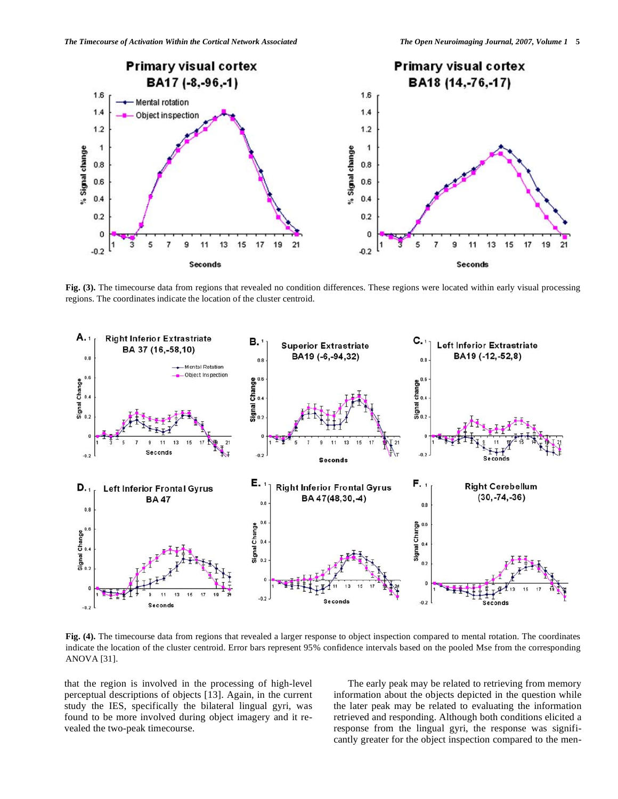

**Fig. (3).** The timecourse data from regions that revealed no condition differences. These regions were located within early visual processing regions. The coordinates indicate the location of the cluster centroid.



**Fig. (4).** The timecourse data from regions that revealed a larger response to object inspection compared to mental rotation. The coordinates indicate the location of the cluster centroid. Error bars represent 95% confidence intervals based on the pooled Mse from the corresponding ANOVA [31].

that the region is involved in the processing of high-level perceptual descriptions of objects [13]. Again, in the current study the IES, specifically the bilateral lingual gyri, was found to be more involved during object imagery and it revealed the two-peak timecourse.

 The early peak may be related to retrieving from memory information about the objects depicted in the question while the later peak may be related to evaluating the information retrieved and responding. Although both conditions elicited a response from the lingual gyri, the response was significantly greater for the object inspection compared to the men-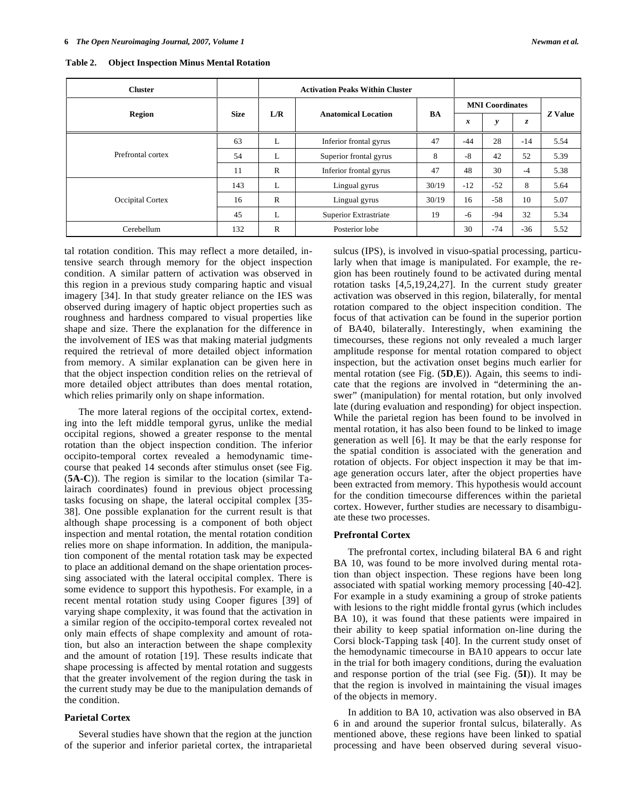| <b>Cluster</b>    |             | <b>Activation Peaks Within Cluster</b> |                            |           |                        |       |               |                |
|-------------------|-------------|----------------------------------------|----------------------------|-----------|------------------------|-------|---------------|----------------|
|                   | <b>Size</b> | L/R                                    | <b>Anatomical Location</b> | <b>BA</b> | <b>MNI</b> Coordinates |       |               |                |
| <b>Region</b>     |             |                                        |                            |           | x                      | y     | $\mathcal{Z}$ | <b>Z</b> Value |
|                   | 63          | L                                      | Inferior frontal gyrus     | 47        | $-44$                  | 28    | $-14$         | 5.54           |
| Prefrontal cortex | 54          | L                                      | Superior frontal gyrus     | 8         | $-8$                   | 42    | 52            | 5.39           |
|                   | 11          | $\mathbb{R}$                           | Inferior frontal gyrus     | 47        | 48                     | 30    | $-4$          | 5.38           |
|                   | 143         | L                                      | Lingual gyrus              | 30/19     | $-12$                  | $-52$ | 8             | 5.64           |
| Occipital Cortex  | 16          | $\mathbb{R}$                           | Lingual gyrus              | 30/19     | 16                     | $-58$ | 10            | 5.07           |
|                   | 45          | L                                      | Superior Extrastriate      | 19        | $-6$                   | $-94$ | 32            | 5.34           |
| Cerebellum        | 132         | $\mathbb{R}$                           | Posterior lobe             |           | 30                     | $-74$ | $-36$         | 5.52           |

**Table 2. Object Inspection Minus Mental Rotation** 

tal rotation condition. This may reflect a more detailed, intensive search through memory for the object inspection condition. A similar pattern of activation was observed in this region in a previous study comparing haptic and visual imagery [34]. In that study greater reliance on the IES was observed during imagery of haptic object properties such as roughness and hardness compared to visual properties like shape and size. There the explanation for the difference in the involvement of IES was that making material judgments required the retrieval of more detailed object information from memory. A similar explanation can be given here in that the object inspection condition relies on the retrieval of more detailed object attributes than does mental rotation, which relies primarily only on shape information.

 The more lateral regions of the occipital cortex, extending into the left middle temporal gyrus, unlike the medial occipital regions, showed a greater response to the mental rotation than the object inspection condition. The inferior occipito-temporal cortex revealed a hemodynamic timecourse that peaked 14 seconds after stimulus onset (see Fig. (**5A-C**)). The region is similar to the location (similar Talairach coordinates) found in previous object processing tasks focusing on shape, the lateral occipital complex [35- 38]. One possible explanation for the current result is that although shape processing is a component of both object inspection and mental rotation, the mental rotation condition relies more on shape information. In addition, the manipulation component of the mental rotation task may be expected to place an additional demand on the shape orientation processing associated with the lateral occipital complex. There is some evidence to support this hypothesis. For example, in a recent mental rotation study using Cooper figures [39] of varying shape complexity, it was found that the activation in a similar region of the occipito-temporal cortex revealed not only main effects of shape complexity and amount of rotation, but also an interaction between the shape complexity and the amount of rotation [19]. These results indicate that shape processing is affected by mental rotation and suggests that the greater involvement of the region during the task in the current study may be due to the manipulation demands of the condition.

# **Parietal Cortex**

 Several studies have shown that the region at the junction of the superior and inferior parietal cortex, the intraparietal sulcus (IPS), is involved in visuo-spatial processing, particularly when that image is manipulated. For example, the region has been routinely found to be activated during mental rotation tasks [4,5,19,24,27]. In the current study greater activation was observed in this region, bilaterally, for mental rotation compared to the object inspecition condition. The focus of that activation can be found in the superior portion of BA40, bilaterally. Interestingly, when examining the timecourses, these regions not only revealed a much larger amplitude response for mental rotation compared to object inspection, but the activation onset begins much earlier for mental rotation (see Fig. (**5D**,**E**)). Again, this seems to indicate that the regions are involved in "determining the answer" (manipulation) for mental rotation, but only involved late (during evaluation and responding) for object inspection. While the parietal region has been found to be involved in mental rotation, it has also been found to be linked to image generation as well [6]. It may be that the early response for the spatial condition is associated with the generation and rotation of objects. For object inspection it may be that image generation occurs later, after the object properties have been extracted from memory. This hypothesis would account for the condition timecourse differences within the parietal cortex. However, further studies are necessary to disambiguate these two processes.

#### **Prefrontal Cortex**

 The prefrontal cortex, including bilateral BA 6 and right BA 10, was found to be more involved during mental rotation than object inspection. These regions have been long associated with spatial working memory processing [40-42]. For example in a study examining a group of stroke patients with lesions to the right middle frontal gyrus (which includes BA 10), it was found that these patients were impaired in their ability to keep spatial information on-line during the Corsi block-Tapping task [40]. In the current study onset of the hemodynamic timecourse in BA10 appears to occur late in the trial for both imagery conditions, during the evaluation and response portion of the trial (see Fig. (**5I**)). It may be that the region is involved in maintaining the visual images of the objects in memory.

 In addition to BA 10, activation was also observed in BA 6 in and around the superior frontal sulcus, bilaterally. As mentioned above, these regions have been linked to spatial processing and have been observed during several visuo-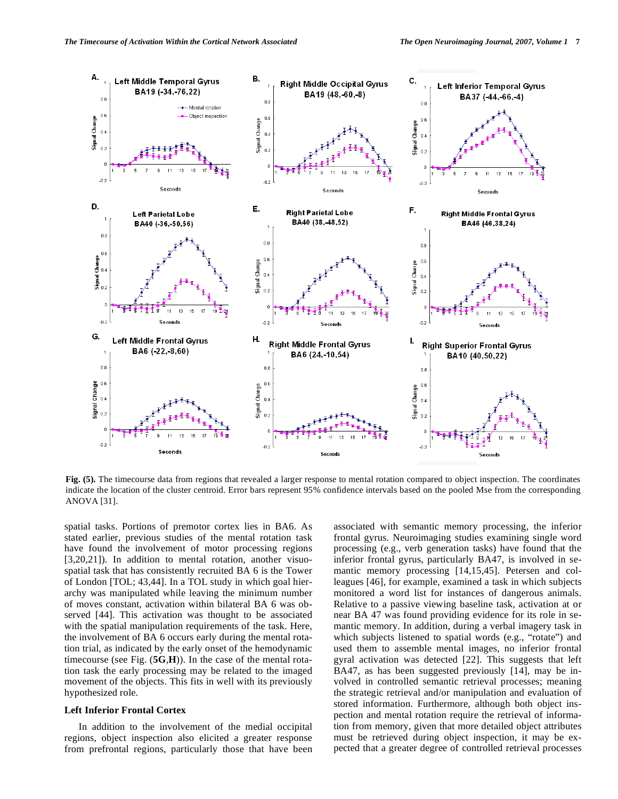

**Fig. (5).** The timecourse data from regions that revealed a larger response to mental rotation compared to object inspection. The coordinates indicate the location of the cluster centroid. Error bars represent 95% confidence intervals based on the pooled Mse from the corresponding ANOVA [31].

spatial tasks. Portions of premotor cortex lies in BA6. As stated earlier, previous studies of the mental rotation task have found the involvement of motor processing regions [3,20,21]). In addition to mental rotation, another visuospatial task that has consistently recruited BA 6 is the Tower of London [TOL; 43,44]. In a TOL study in which goal hierarchy was manipulated while leaving the minimum number of moves constant, activation within bilateral BA 6 was observed [44]. This activation was thought to be associated with the spatial manipulation requirements of the task. Here, the involvement of BA 6 occurs early during the mental rotation trial, as indicated by the early onset of the hemodynamic timecourse (see Fig. (**5G**,**H**)). In the case of the mental rotation task the early processing may be related to the imaged movement of the objects. This fits in well with its previously hypothesized role.

# **Left Inferior Frontal Cortex**

 In addition to the involvement of the medial occipital regions, object inspection also elicited a greater response from prefrontal regions, particularly those that have been associated with semantic memory processing, the inferior frontal gyrus. Neuroimaging studies examining single word processing (e.g., verb generation tasks) have found that the inferior frontal gyrus, particularly BA47, is involved in semantic memory processing [14,15,45]. Petersen and colleagues [46], for example, examined a task in which subjects monitored a word list for instances of dangerous animals. Relative to a passive viewing baseline task, activation at or near BA 47 was found providing evidence for its role in semantic memory. In addition, during a verbal imagery task in which subjects listened to spatial words (e.g., "rotate") and used them to assemble mental images, no inferior frontal gyral activation was detected [22]. This suggests that left BA47, as has been suggested previously [14], may be involved in controlled semantic retrieval processes; meaning the strategic retrieval and/or manipulation and evaluation of stored information. Furthermore, although both object inspection and mental rotation require the retrieval of information from memory, given that more detailed object attributes must be retrieved during object inspection, it may be expected that a greater degree of controlled retrieval processes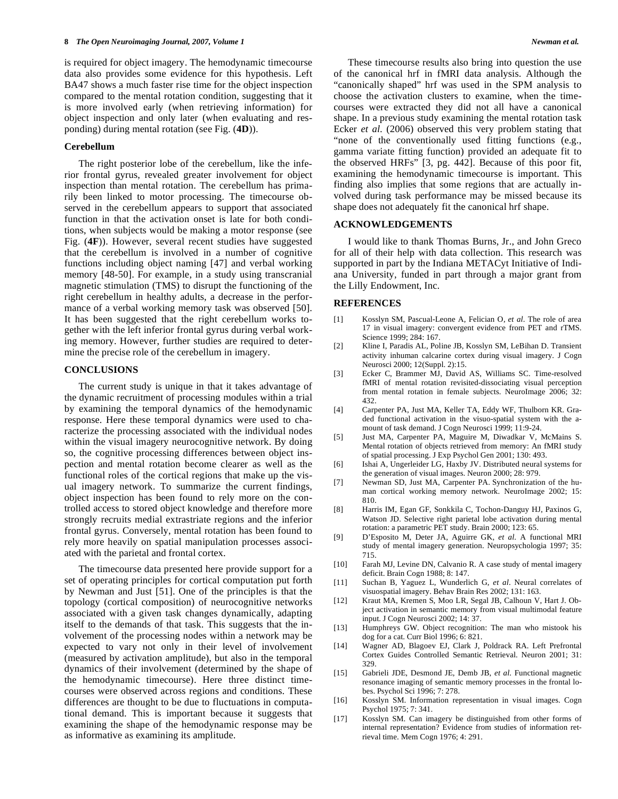is required for object imagery. The hemodynamic timecourse data also provides some evidence for this hypothesis. Left BA47 shows a much faster rise time for the object inspection compared to the mental rotation condition, suggesting that it is more involved early (when retrieving information) for object inspection and only later (when evaluating and responding) during mental rotation (see Fig. (**4D**)).

# **Cerebellum**

 The right posterior lobe of the cerebellum, like the inferior frontal gyrus, revealed greater involvement for object inspection than mental rotation. The cerebellum has primarily been linked to motor processing. The timecourse observed in the cerebellum appears to support that associated function in that the activation onset is late for both conditions, when subjects would be making a motor response (see Fig. (**4F**)). However, several recent studies have suggested that the cerebellum is involved in a number of cognitive functions including object naming [47] and verbal working memory [48-50]. For example, in a study using transcranial magnetic stimulation (TMS) to disrupt the functioning of the right cerebellum in healthy adults, a decrease in the performance of a verbal working memory task was observed [50]. It has been suggested that the right cerebellum works together with the left inferior frontal gyrus during verbal working memory. However, further studies are required to determine the precise role of the cerebellum in imagery.

## **CONCLUSIONS**

 The current study is unique in that it takes advantage of the dynamic recruitment of processing modules within a trial by examining the temporal dynamics of the hemodynamic response. Here these temporal dynamics were used to characterize the processing associated with the individual nodes within the visual imagery neurocognitive network. By doing so, the cognitive processing differences between object inspection and mental rotation become clearer as well as the functional roles of the cortical regions that make up the visual imagery network. To summarize the current findings, object inspection has been found to rely more on the controlled access to stored object knowledge and therefore more strongly recruits medial extrastriate regions and the inferior frontal gyrus. Conversely, mental rotation has been found to rely more heavily on spatial manipulation processes associated with the parietal and frontal cortex.

 The timecourse data presented here provide support for a set of operating principles for cortical computation put forth by Newman and Just [51]. One of the principles is that the topology (cortical composition) of neurocognitive networks associated with a given task changes dynamically, adapting itself to the demands of that task. This suggests that the involvement of the processing nodes within a network may be expected to vary not only in their level of involvement (measured by activation amplitude), but also in the temporal dynamics of their involvement (determined by the shape of the hemodynamic timecourse). Here three distinct timecourses were observed across regions and conditions. These differences are thought to be due to fluctuations in computational demand. This is important because it suggests that examining the shape of the hemodynamic response may be as informative as examining its amplitude.

 These timecourse results also bring into question the use of the canonical hrf in fMRI data analysis. Although the "canonically shaped" hrf was used in the SPM analysis to choose the activation clusters to examine, when the timecourses were extracted they did not all have a canonical shape. In a previous study examining the mental rotation task Ecker *et al*. (2006) observed this very problem stating that "none of the conventionally used fitting functions (e.g., gamma variate fitting function) provided an adequate fit to the observed HRFs" [3, pg. 442]. Because of this poor fit, examining the hemodynamic timecourse is important. This finding also implies that some regions that are actually involved during task performance may be missed because its shape does not adequately fit the canonical hrf shape.

# **ACKNOWLEDGEMENTS**

 I would like to thank Thomas Burns, Jr., and John Greco for all of their help with data collection. This research was supported in part by the Indiana METACyt Initiative of Indiana University, funded in part through a major grant from the Lilly Endowment, Inc.

#### **REFERENCES**

- [1] Kosslyn SM, Pascual-Leone A, Felician O, *et al*. The role of area 17 in visual imagery: convergent evidence from PET and rTMS. Science 1999; 284: 167.
- [2] Kline I, Paradis AL, Poline JB, Kosslyn SM, LeBihan D. Transient activity inhuman calcarine cortex during visual imagery. J Cogn Neurosci 2000; 12(Suppl. 2):15.
- [3] Ecker C, Brammer MJ, David AS, Williams SC. Time-resolved fMRI of mental rotation revisited-dissociating visual perception from mental rotation in female subjects. NeuroImage 2006; 32: 432.
- [4] Carpenter PA, Just MA, Keller TA, Eddy WF, Thulborn KR. Graded functional activation in the visuo-spatial system with the amount of task demand. J Cogn Neurosci 1999; 11:9-24.
- [5] Just MA, Carpenter PA, Maguire M, Diwadkar V, McMains S. Mental rotation of objects retrieved from memory: An fMRI study of spatial processing. J Exp Psychol Gen 2001; 130: 493.
- [6] Ishai A, Ungerleider LG, Haxby JV. Distributed neural systems for the generation of visual images. Neuron 2000; 28: 979.
- [7] Newman SD, Just MA, Carpenter PA. Synchronization of the human cortical working memory network. NeuroImage 2002; 15: 810.
- [8] Harris IM, Egan GF, Sonkkila C, Tochon-Danguy HJ, Paxinos G, Watson JD. Selective right parietal lobe activation during mental rotation: a parametric PET study. Brain 2000; 123: 65.
- [9] D'Esposito M, Deter JA, Aguirre GK, *et al*. A functional MRI study of mental imagery generation. Neuropsychologia 1997; 35: 715.
- [10] Farah MJ, Levine DN, Calvanio R. A case study of mental imagery deficit. Brain Cogn 1988; 8: 147.
- [11] Suchan B, Yaguez L, Wunderlich G, *et al*. Neural correlates of visuospatial imagery. Behav Brain Res 2002; 131: 163.
- [12] Kraut MA, Kremen S, Moo LR, Segal JB, Calhoun V, Hart J. Object activation in semantic memory from visual multimodal feature input. J Cogn Neurosci 2002; 14: 37.
- [13] Humphreys GW. Object recognition: The man who mistook his dog for a cat. Curr Biol 1996; 6: 821.
- [14] Wagner AD, Blagoev EJ, Clark J, Poldrack RA. Left Prefrontal Cortex Guides Controlled Semantic Retrieval. Neuron 2001; 31: 329.
- [15] Gabrieli JDE, Desmond JE, Demb JB, *et al*. Functional magnetic resonance imaging of semantic memory processes in the frontal lobes. Psychol Sci 1996; 7: 278.
- [16] Kosslyn SM. Information representation in visual images. Cogn Psychol 1975; 7: 341.
- [17] Kosslyn SM. Can imagery be distinguished from other forms of internal representation? Evidence from studies of information retrieval time. Mem Cogn 1976; 4: 291.